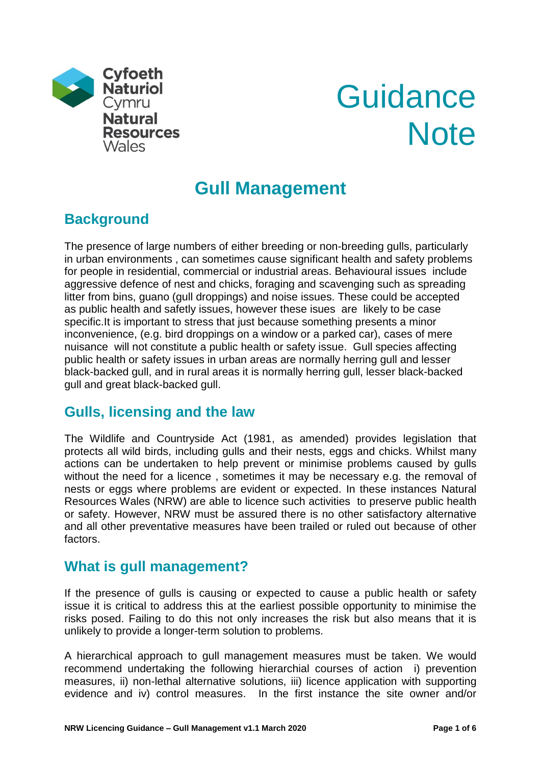

# **Guidance Note**

# **Gull Management**

# **Background**

The presence of large numbers of either breeding or non-breeding gulls, particularly in urban environments , can sometimes cause significant health and safety problems for people in residential, commercial or industrial areas. Behavioural issues include aggressive defence of nest and chicks, foraging and scavenging such as spreading litter from bins, guano (gull droppings) and noise issues. These could be accepted as public health and safetly issues, however these isues are likely to be case specific.It is important to stress that just because something presents a minor inconvenience, (e.g. bird droppings on a window or a parked car), cases of mere nuisance will not constitute a public health or safety issue. Gull species affecting public health or safety issues in urban areas are normally herring gull and lesser black-backed gull, and in rural areas it is normally herring gull, lesser black-backed gull and great black-backed gull.

#### **Gulls, licensing and the law**

The Wildlife and Countryside Act (1981, as amended) provides legislation that protects all wild birds, including gulls and their nests, eggs and chicks. Whilst many actions can be undertaken to help prevent or minimise problems caused by gulls without the need for a licence , sometimes it may be necessary e.g. the removal of nests or eggs where problems are evident or expected. In these instances Natural Resources Wales (NRW) are able to licence such activities to preserve public health or safety. However, NRW must be assured there is no other satisfactory alternative and all other preventative measures have been trailed or ruled out because of other factors.

## **What is gull management?**

If the presence of gulls is causing or expected to cause a public health or safety issue it is critical to address this at the earliest possible opportunity to minimise the risks posed. Failing to do this not only increases the risk but also means that it is unlikely to provide a longer-term solution to problems.

A hierarchical approach to gull management measures must be taken. We would recommend undertaking the following hierarchial courses of action i) prevention measures, ii) non-lethal alternative solutions, iii) licence application with supporting evidence and iv) control measures. In the first instance the site owner and/or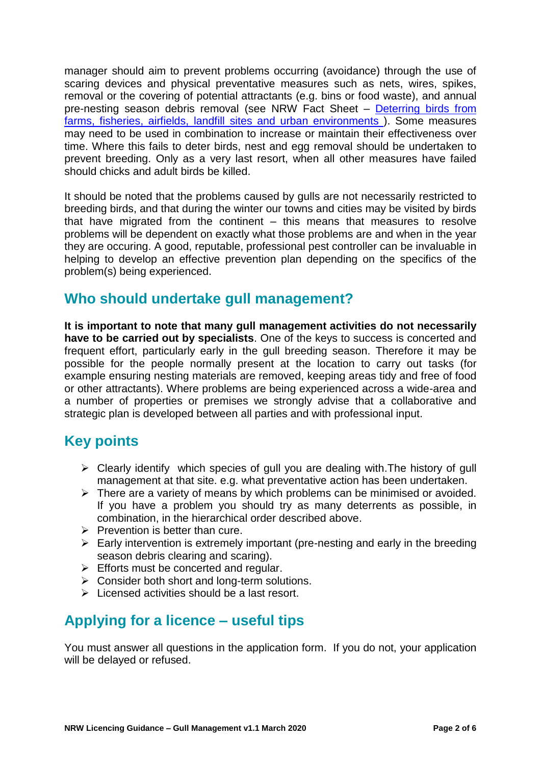manager should aim to prevent problems occurring (avoidance) through the use of scaring devices and physical preventative measures such as nets, wires, spikes, removal or the covering of potential attractants (e.g. bins or food waste), and annual pre-nesting season debris removal (see NRW Fact Sheet – [Deterring birds from](https://cdn.naturalresources.wales/media/675823/deterring-birds-fact-sheet.pdf?mode=pad&rnd=130976733150000000)  [farms, fisheries, airfields, landfill sites and urban environments](https://cdn.naturalresources.wales/media/675823/deterring-birds-fact-sheet.pdf?mode=pad&rnd=130976733150000000) ). Some measures may need to be used in combination to increase or maintain their effectiveness over time. Where this fails to deter birds, nest and egg removal should be undertaken to prevent breeding. Only as a very last resort, when all other measures have failed should chicks and adult birds be killed.

It should be noted that the problems caused by gulls are not necessarily restricted to breeding birds, and that during the winter our towns and cities may be visited by birds that have migrated from the continent – this means that measures to resolve problems will be dependent on exactly what those problems are and when in the year they are occuring. A good, reputable, professional pest controller can be invaluable in helping to develop an effective prevention plan depending on the specifics of the problem(s) being experienced.

#### **Who should undertake gull management?**

**It is important to note that many gull management activities do not necessarily have to be carried out by specialists**. One of the keys to success is concerted and frequent effort, particularly early in the gull breeding season. Therefore it may be possible for the people normally present at the location to carry out tasks (for example ensuring nesting materials are removed, keeping areas tidy and free of food or other attractants). Where problems are being experienced across a wide-area and a number of properties or premises we strongly advise that a collaborative and strategic plan is developed between all parties and with professional input.

# **Key points**

- ➢ Clearly identify which species of gull you are dealing with.The history of gull management at that site. e.g. what preventative action has been undertaken.
- ➢ There are a variety of means by which problems can be minimised or avoided. If you have a problem you should try as many deterrents as possible, in combination, in the hierarchical order described above.
- $\triangleright$  Prevention is better than cure.
- $\triangleright$  Early intervention is extremely important (pre-nesting and early in the breeding season debris clearing and scaring).
- $\triangleright$  Efforts must be concerted and regular.
- ➢ Consider both short and long-term solutions.
- $\triangleright$  Licensed activities should be a last resort.

#### **Applying for a licence – useful tips**

You must answer all questions in the application form. If you do not, your application will be delayed or refused.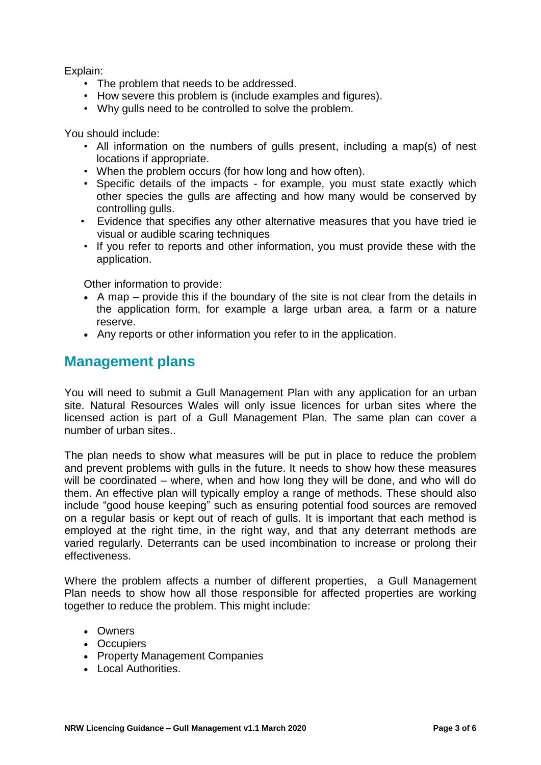Explain:

- The problem that needs to be addressed.
- How severe this problem is (include examples and figures).
- Why gulls need to be controlled to solve the problem.

You should include:

- All information on the numbers of gulls present, including a map(s) of nest locations if appropriate.
- When the problem occurs (for how long and how often).
- Specific details of the impacts for example, you must state exactly which other species the gulls are affecting and how many would be conserved by controlling gulls.
- Evidence that specifies any other alternative measures that you have tried ie visual or audible scaring techniques
- If you refer to reports and other information, you must provide these with the application.

Other information to provide:

- A map provide this if the boundary of the site is not clear from the details in the application form, for example a large urban area, a farm or a nature reserve.
- Any reports or other information you refer to in the application.

### **Management plans**

You will need to submit a Gull Management Plan with any application for an urban site. Natural Resources Wales will only issue licences for urban sites where the licensed action is part of a Gull Management Plan. The same plan can cover a number of urban sites..

The plan needs to show what measures will be put in place to reduce the problem and prevent problems with gulls in the future. It needs to show how these measures will be coordinated – where, when and how long they will be done, and who will do them. An effective plan will typically employ a range of methods. These should also include "good house keeping" such as ensuring potential food sources are removed on a regular basis or kept out of reach of gulls. It is important that each method is employed at the right time, in the right way, and that any deterrant methods are varied regularly. Deterrants can be used incombination to increase or prolong their effectiveness.

Where the problem affects a number of different properties, a Gull Management Plan needs to show how all those responsible for affected properties are working together to reduce the problem. This might include:

- Owners
- Occupiers
- Property Management Companies
- Local Authorities.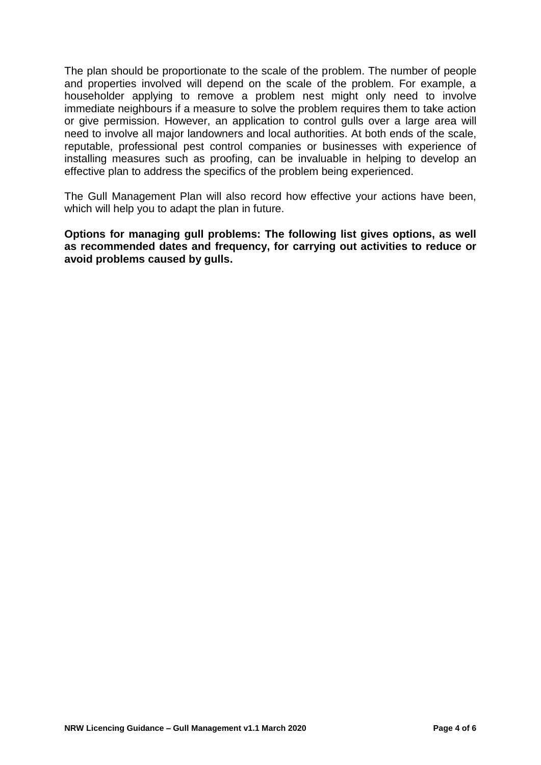The plan should be proportionate to the scale of the problem. The number of people and properties involved will depend on the scale of the problem. For example, a householder applying to remove a problem nest might only need to involve immediate neighbours if a measure to solve the problem requires them to take action or give permission. However, an application to control gulls over a large area will need to involve all major landowners and local authorities. At both ends of the scale, reputable, professional pest control companies or businesses with experience of installing measures such as proofing, can be invaluable in helping to develop an effective plan to address the specifics of the problem being experienced.

The Gull Management Plan will also record how effective your actions have been, which will help you to adapt the plan in future.

**Options for managing gull problems: The following list gives options, as well as recommended dates and frequency, for carrying out activities to reduce or avoid problems caused by gulls.**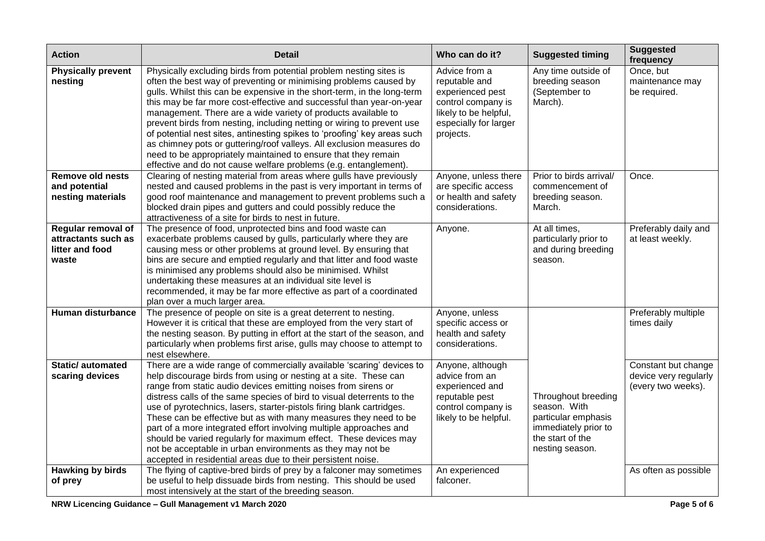| <b>Action</b>                                                         | <b>Detail</b>                                                                                                                                                                                                                                                                                                                                                                                                                                                                                                                                                                                                                                                                                                                   | Who can do it?                                                                                                                          | <b>Suggested timing</b>                                                                                                   | <b>Suggested</b><br>frequency                                      |
|-----------------------------------------------------------------------|---------------------------------------------------------------------------------------------------------------------------------------------------------------------------------------------------------------------------------------------------------------------------------------------------------------------------------------------------------------------------------------------------------------------------------------------------------------------------------------------------------------------------------------------------------------------------------------------------------------------------------------------------------------------------------------------------------------------------------|-----------------------------------------------------------------------------------------------------------------------------------------|---------------------------------------------------------------------------------------------------------------------------|--------------------------------------------------------------------|
| <b>Physically prevent</b><br>nesting                                  | Physically excluding birds from potential problem nesting sites is<br>often the best way of preventing or minimising problems caused by<br>gulls. Whilst this can be expensive in the short-term, in the long-term<br>this may be far more cost-effective and successful than year-on-year<br>management. There are a wide variety of products available to<br>prevent birds from nesting, including netting or wiring to prevent use<br>of potential nest sites, antinesting spikes to 'proofing' key areas such<br>as chimney pots or guttering/roof valleys. All exclusion measures do<br>need to be appropriately maintained to ensure that they remain<br>effective and do not cause welfare problems (e.g. entanglement). | Advice from a<br>reputable and<br>experienced pest<br>control company is<br>likely to be helpful,<br>especially for larger<br>projects. | Any time outside of<br>breeding season<br>(September to<br>March).                                                        | Once, but<br>maintenance may<br>be required.                       |
| <b>Remove old nests</b><br>and potential<br>nesting materials         | Clearing of nesting material from areas where gulls have previously<br>nested and caused problems in the past is very important in terms of<br>good roof maintenance and management to prevent problems such a<br>blocked drain pipes and gutters and could possibly reduce the<br>attractiveness of a site for birds to nest in future.                                                                                                                                                                                                                                                                                                                                                                                        | Anyone, unless there<br>are specific access<br>or health and safety<br>considerations.                                                  | Prior to birds arrival/<br>commencement of<br>breeding season.<br>March.                                                  | Once.                                                              |
| Regular removal of<br>attractants such as<br>litter and food<br>waste | The presence of food, unprotected bins and food waste can<br>exacerbate problems caused by gulls, particularly where they are<br>causing mess or other problems at ground level. By ensuring that<br>bins are secure and emptied regularly and that litter and food waste<br>is minimised any problems should also be minimised. Whilst<br>undertaking these measures at an individual site level is<br>recommended, it may be far more effective as part of a coordinated<br>plan over a much larger area.                                                                                                                                                                                                                     | Anyone.                                                                                                                                 | At all times,<br>particularly prior to<br>and during breeding<br>season.                                                  | Preferably daily and<br>at least weekly.                           |
| <b>Human disturbance</b>                                              | The presence of people on site is a great deterrent to nesting.<br>However it is critical that these are employed from the very start of<br>the nesting season. By putting in effort at the start of the season, and<br>particularly when problems first arise, gulls may choose to attempt to<br>nest elsewhere.                                                                                                                                                                                                                                                                                                                                                                                                               | Anyone, unless<br>specific access or<br>health and safety<br>considerations.                                                            |                                                                                                                           | Preferably multiple<br>times daily                                 |
| <b>Static/automated</b><br>scaring devices                            | There are a wide range of commercially available 'scaring' devices to<br>help discourage birds from using or nesting at a site. These can<br>range from static audio devices emitting noises from sirens or<br>distress calls of the same species of bird to visual deterrents to the<br>use of pyrotechnics, lasers, starter-pistols firing blank cartridges.<br>These can be effective but as with many measures they need to be<br>part of a more integrated effort involving multiple approaches and<br>should be varied regularly for maximum effect. These devices may<br>not be acceptable in urban environments as they may not be<br>accepted in residential areas due to their persistent noise.                      | Anyone, although<br>advice from an<br>experienced and<br>reputable pest<br>control company is<br>likely to be helpful.                  | Throughout breeding<br>season. With<br>particular emphasis<br>immediately prior to<br>the start of the<br>nesting season. | Constant but change<br>device very regularly<br>(every two weeks). |
| <b>Hawking by birds</b><br>of prey                                    | The flying of captive-bred birds of prey by a falconer may sometimes<br>be useful to help dissuade birds from nesting. This should be used<br>most intensively at the start of the breeding season.                                                                                                                                                                                                                                                                                                                                                                                                                                                                                                                             | An experienced<br>falconer.                                                                                                             |                                                                                                                           | As often as possible                                               |